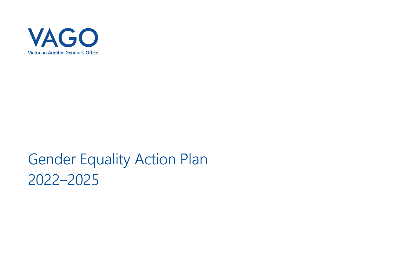

# Gender Equality Action Plan 2022–2025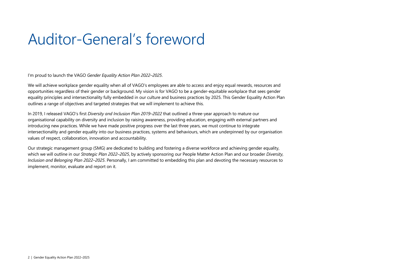## Auditor-General's foreword

I'm proud to launch the VAGO *Gender Equality Action Plan 2022–2025*.

We will achieve workplace gender equality when all of VAGO's employees are able to access and enjoy equal rewards, resources and opportunities regardless of their gender or background. My vision is for VAGO to be a gender-equitable workplace that sees gender equality principles and intersectionality fully embedded in our culture and business practices by 2025. This Gender Equality Action Plan outlines a range of objectives and targeted strategies that we will implement to achieve this.

In 2019, I released VAGO's first *Diversity and Inclusion Plan 2019–2022* that outlined a three-year approach to mature our organisational capability on diversity and inclusion by raising awareness, providing education, engaging with external partners and introducing new practices. While we have made positive progress over the last three years, we must continue to integrate intersectionality and gender equality into our business practices, systems and behaviours, which are underpinned by our organisation values of respect, collaboration, innovation and accountability.

Our strategic management group (SMG) are dedicated to building and fostering a diverse workforce and achieving gender equality, which we will outline in our *Strategic Plan 2022–2025*, by actively sponsoring our People Matter Action Plan and our broader *Diversity, Inclusion and Belonging Plan 2022–2025*. Personally, I am committed to embedding this plan and devoting the necessary resources to implement, monitor, evaluate and report on it.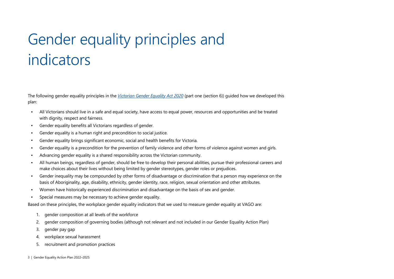# Gender equality principles and indicators

The following gender equality principles in the *[Victorian Gender Equality Act 2020](https://content.legislation.vic.gov.au/sites/default/files/2020-02/20-005aa%20authorised.pdf)* (part one (section 6)) guided how we developed this plan:

- All Victorians should live in a safe and equal society, have access to equal power, resources and opportunities and be treated with dignity, respect and fairness.
- Gender equality benefits all Victorians regardless of gender.
- Gender equality is a human right and precondition to social justice.
- Gender equality brings significant economic, social and health benefits for Victoria.
- Gender equality is a precondition for the prevention of family violence and other forms of violence against women and girls.
- Advancing gender equality is a shared responsibility across the Victorian community.
- All human beings, regardless of gender, should be free to develop their personal abilities, pursue their professional careers and make choices about their lives without being limited by gender stereotypes, gender roles or prejudices.
- Gender inequality may be compounded by other forms of disadvantage or discrimination that a person may experience on the basis of Aboriginality, age, disability, ethnicity, gender identity, race, religion, sexual orientation and other attributes.
- Women have historically experienced discrimination and disadvantage on the basis of sex and gender.
- Special measures may be necessary to achieve gender equality.

Based on these principles, the workplace gender equality indicators that we used to measure gender equality at VAGO are:

- 1. gender composition at all levels of the workforce
- 2. gender composition of governing bodies (although not relevant and not included in our Gender Equality Action Plan)
- 3. gender pay gap
- 4. workplace sexual harassment
- 5. recruitment and promotion practices
- 3 | Gender Equality Action Plan 2022–2025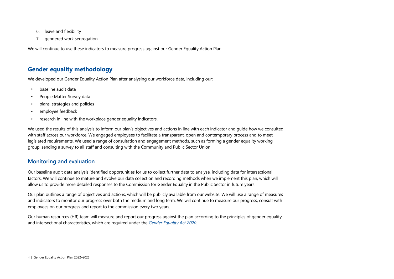- 6. leave and flexibility
- 7. gendered work segregation.

We will continue to use these indicators to measure progress against our Gender Equality Action Plan.

## **Gender equality methodology**

We developed our Gender Equality Action Plan after analysing our workforce data, including our:

- baseline audit data
- People Matter Survey data
- plans, strategies and policies
- employee feedback
- research in line with the workplace gender equality indicators.

We used the results of this analysis to inform our plan's objectives and actions in line with each indicator and guide how we consulted with staff across our workforce. We engaged employees to facilitate a transparent, open and contemporary process and to meet legislated requirements. We used a range of consultation and engagement methods, such as forming a gender equality working group, sending a survey to all staff and consulting with the Community and Public Sector Union.

#### **Monitoring and evaluation**

Our baseline audit data analysis identified opportunities for us to collect further data to analyse, including data for intersectional factors. We will continue to mature and evolve our data collection and recording methods when we implement this plan, which will allow us to provide more detailed responses to the Commission for Gender Equality in the Public Sector in future years.

Our plan outlines a range of objectives and actions, which will be publicly available from our website. We will use a range of measures and indicators to monitor our progress over both the medium and long term. We will continue to measure our progress, consult with employees on our progress and report to the commission every two years.

Our human resources (HR) team will measure and report our progress against the plan according to the principles of gender equality and intersectional characteristics, which are required under the *[Gender Equality Act 2020](https://content.legislation.vic.gov.au/sites/default/files/2020-02/20-005aa%20authorised.pdf)*.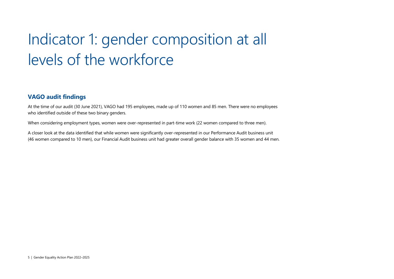# Indicator 1: gender composition at all levels of the workforce

## **VAGO audit findings**

At the time of our audit (30 June 2021), VAGO had 195 employees, made up of 110 women and 85 men. There were no employees who identified outside of these two binary genders.

When considering employment types, women were over-represented in part-time work (22 women compared to three men).

A closer look at the data identified that while women were significantly over-represented in our Performance Audit business unit (46 women compared to 10 men), our Financial Audit business unit had greater overall gender balance with 35 women and 44 men.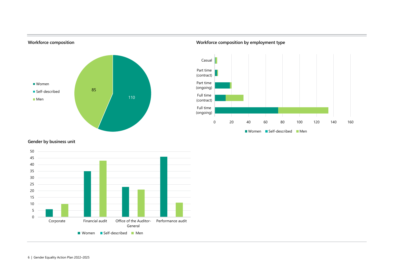

**Workforce composition Workforce composition by employment type**



#### **Gender by business unit**

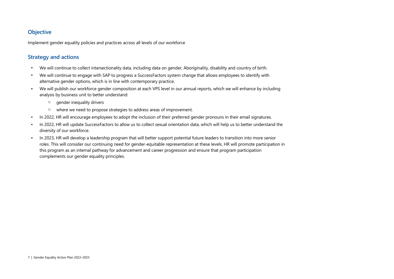## **Objective**

Implement gender equality policies and practices across all levels of our workforce

- We will continue to collect intersectionality data, including data on gender, Aboriginality, disability and country of birth.
- We will continue to engage with SAP to progress a SuccessFactors system change that allows employees to identify with alternative gender options, which is in line with contemporary practice.
- We will publish our workforce gender composition at each VPS level in our annual reports, which we will enhance by including analysis by business unit to better understand:
	- o gender inequality drivers
	- o where we need to propose strategies to address areas of improvement.
- In 2022, HR will encourage employees to adopt the inclusion of their preferred gender pronouns in their email signatures.
- In 2022, HR will update SuccessFactors to allow us to collect sexual orientation data, which will help us to better understand the diversity of our workforce.
- In 2023, HR will develop a leadership program that will better support potential future leaders to transition into more senior roles. This will consider our continuing need for gender-equitable representation at these levels. HR will promote participation in this program as an internal pathway for advancement and career progression and ensure that program participation complements our gender equality principles.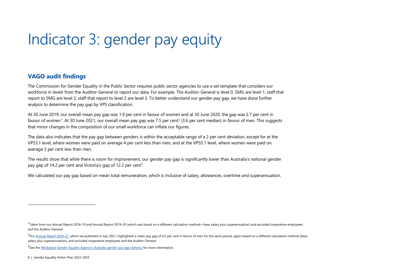# <span id="page-7-2"></span><span id="page-7-1"></span><span id="page-7-0"></span>Indicator 3: gender pay equity

## **VAGO audit findings**

The Commission for Gender Equality in the Public Sector requires public sector agencies to use a set template that considers our workforce in levels from the Auditor-General to report our data. For example, The Auditor-General is level 0, SMG are level 1, staff that report to SMG are level 2, staff that report to level 2 are level 3. To better understand our gender pay gap, we have done further analysis to determine the pay gap by VPS classification.

At 30 June 2019, our overall mean pay gap was 1.9 per cent in favour of women and at 30 June 2020, the gap was 2.7 per cent in favour of women<sup>[1](#page-7-0)</sup>. At 30 June [2](#page-7-1)021, our overall mean pay gap was 7.5 per cent<sup>2</sup> (3.6 per cent median) in favour of men. This suggests that minor changes in the composition of our small workforce can inflate our figures.

The data also indicates that the pay gap between genders is within the acceptable range of a 2 per cent deviation, except for at the VPS3.1 level, where women were paid on average 4 per cent less than men, and at the VPS5.1 level, where women were paid on average 3 per cent less than men.

The results show that while there is room for improvement, our gender pay gap is significantly lower than Australia's national gender pay gap of 14.2 per cent and Victoria's gap of 12.2 per cent<sup>[3](#page-7-2)</sup>.

We calculated our pay gap based on mean total remuneration, which is inclusive of salary, allowances, overtime and superannuation.

 $1$ Taken from our Annual Report 2018–19 and Annual Report 2019–20 (which was based on a different calculation method—base salary plus superannuation) and excluded inoperative employees and the Auditor-General.

<sup>&</sup>lt;sup>2</sup>Our *[Annual Report 2020–21](https://www.audit.vic.gov.au/report/annual-report-2020-21)*, which we published in July 2021, highlighted a mean pay gap of 4.5 per cent in favour of men for the same period, again based on a different calculation method (base salary plus superannuation), and excluded inoperative employees and the Auditor-General.

<sup>&</sup>lt;sup>3</sup>See th[e Workplace Gender Equality Agency's Australia gender pay gap statistics](https://www.wgea.gov.au/publications/australias-gender-pay-gap-statistics) for more information.

<sup>8 |</sup> Gender Equality Action Plan 2022–2025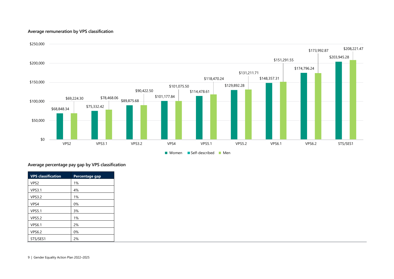#### **Average remuneration by VPS classification**



#### **Average percentage pay gap by VPS classification**

| <b>VPS</b> classification | Percentage gap |
|---------------------------|----------------|
| VPS <sub>2</sub>          | 1%             |
| <b>VPS3.1</b>             | 4%             |
| <b>VPS3.2</b>             | 1%             |
| VPS4                      | 0%             |
| <b>VPS5.1</b>             | 3%             |
| <b>VPS5.2</b>             | 1%             |
| <b>VPS6.1</b>             | 2%             |
| <b>VPS6.2</b>             | 0%             |
| STS/SES1                  | 2%             |

9 | Gender Equality Action Plan 2022–2025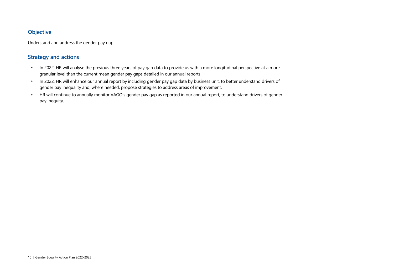## **Objective**

Understand and address the gender pay gap.

- In 2022, HR will analyse the previous three years of pay gap data to provide us with a more longitudinal perspective at a more granular level than the current mean gender pay gaps detailed in our annual reports.
- In 2022, HR will enhance our annual report by including gender pay gap data by business unit, to better understand drivers of gender pay inequality and, where needed, propose strategies to address areas of improvement.
- HR will continue to annually monitor VAGO's gender pay gap as reported in our annual report, to understand drivers of gender pay inequity.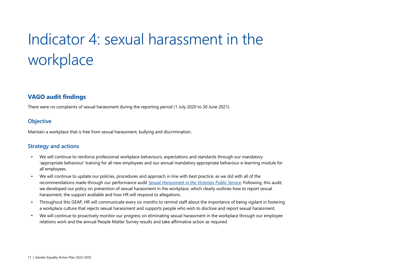# Indicator 4: sexual harassment in the workplace

## **VAGO audit findings**

There were no complaints of sexual harassment during the reporting period (1 July 2020 to 30 June 2021).

#### **Objective**

Maintain a workplace that is free from sexual harassment, bullying and discrimination.

- We will continue to reinforce professional workplace behaviours, expectations and standards through our mandatory 'appropriate behaviour' training for all new employees and our annual mandatory appropriate behaviour e-learning module for all employees.
- We will continue to update our policies, procedures and approach in line with best practice, as we did with all of the recommendations made through our performance audit *[Sexual Harassment in the Victorian Public Service](https://www.audit.vic.gov.au/report/sexual-harassment-victorian-public-service?section=)*. Following, this audit, we developed our policy on prevention of sexual harassment in the workplace, which clearly outlines how to report sexual harassment, the support available and how HR will respond to allegations.
- Throughout this GEAP, HR will communicate every six months to remind staff about the importance of being vigilant in fostering a workplace culture that rejects sexual harassment and supports people who wish to disclose and report sexual harassment.
- We will continue to proactively monitor our progress on eliminating sexual harassment in the workplace through our employee relations work and the annual People Matter Survey results and take affirmative action as required.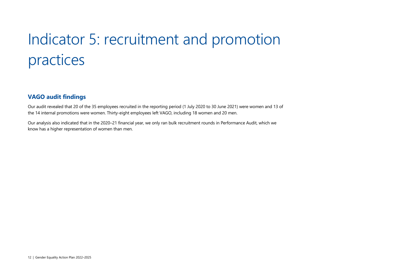# Indicator 5: recruitment and promotion practices

## **VAGO audit findings**

Our audit revealed that 20 of the 35 employees recruited in the reporting period (1 July 2020 to 30 June 2021) were women and 13 of the 14 internal promotions were women. Thirty-eight employees left VAGO, including 18 women and 20 men.

Our analysis also indicated that in the 2020–21 financial year, we only ran bulk recruitment rounds in Performance Audit, which we know has a higher representation of women than men.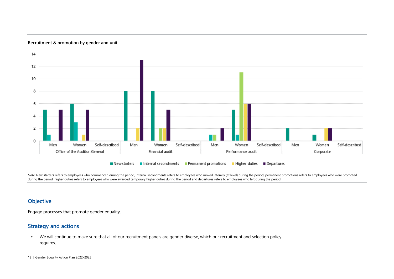

**Recruitment & promotion by gender and unit**

Note: New starters refers to employees who commenced during the period, internal secondments refers to employees who moved laterally (at level) during the period, permanent promotions refers to employees who were promoted during the period, higher duties refers to employees who were awarded temporary higher duties during the period and departures refers to employees who left during the period.

#### **Objective**

Engage processes that promote gender equality.

### **Strategy and actions**

• We will continue to make sure that all of our recruitment panels are gender diverse, which our recruitment and selection policy requires.

13 | Gender Equality Action Plan 2022-2025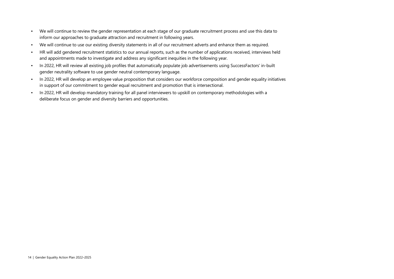- We will continue to review the gender representation at each stage of our graduate recruitment process and use this data to inform our approaches to graduate attraction and recruitment in following years.
- We will continue to use our existing diversity statements in all of our recruitment adverts and enhance them as required.
- HR will add gendered recruitment statistics to our annual reports, such as the number of applications received, interviews held and appointments made to investigate and address any significant inequities in the following year.
- In 2022, HR will review all existing job profiles that automatically populate job advertisements using SuccessFactors' in-built gender neutrality software to use gender neutral contemporary language.
- In 2022, HR will develop an employee value proposition that considers our workforce composition and gender equality initiatives in support of our commitment to gender equal recruitment and promotion that is intersectional.
- In 2022, HR will develop mandatory training for all panel interviewers to upskill on contemporary methodologies with a deliberate focus on gender and diversity barriers and opportunities.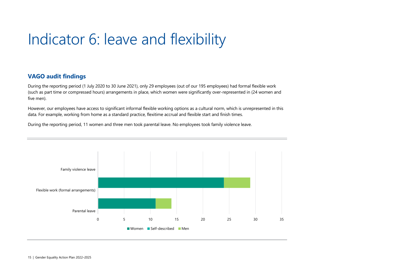## Indicator 6: leave and flexibility

## **VAGO audit findings**

During the reporting period (1 July 2020 to 30 June 2021), only 29 employees (out of our 195 employees) had formal flexible work (such as part time or compressed hours) arrangements in place, which women were significantly over-represented in (24 women and five men).

However, our employees have access to significant informal flexible working options as a cultural norm, which is unrepresented in this data. For example, working from home as a standard practice, flexitime accrual and flexible start and finish times.

During the reporting period, 11 women and three men took parental leave. No employees took family violence leave.

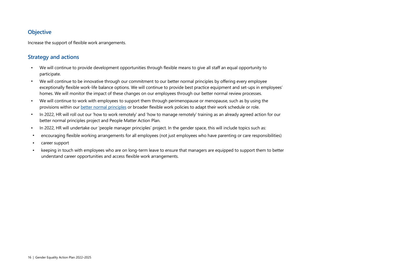## **Objective**

Increase the support of flexible work arrangements.

- We will continue to provide development opportunities through flexible means to give all staff an equal opportunity to participate.
- We will continue to be innovative through our commitment to our better normal principles by offering every employee exceptionally flexible work-life balance options. We will continue to provide best practice equipment and set-ups in employees' homes. We will monitor the impact of these changes on our employees through our better normal review processes.
- We will continue to work with employees to support them through perimenopause or menopause, such as by using the provisions within ou[r better normal principles](https://auditvic.sharepoint.com/sites/VAGO/Shared%20Documents/General/Corporate%20documents/Key%20Documents/Better%20Normal%20Principles.pdf?web=1) or broader flexible work policies to adapt their work schedule or role.
- In 2022, HR will roll out our 'how to work remotely' and 'how to manage remotely' training as an already agreed action for our better normal principles project and People Matter Action Plan.
- In 2022, HR will undertake our 'people manager principles' project. In the gender space, this will include topics such as:
- encouraging flexible working arrangements for all employees (not just employees who have parenting or care responsibilities)
- career support
- keeping in touch with employees who are on long-term leave to ensure that managers are equipped to support them to better understand career opportunities and access flexible work arrangements.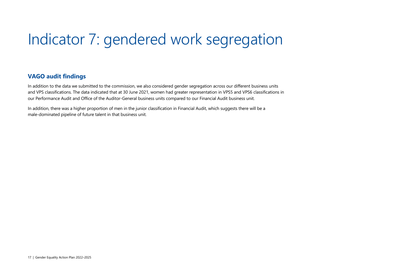## Indicator 7: gendered work segregation

## **VAGO audit findings**

In addition to the data we submitted to the commission, we also considered gender segregation across our different business units and VPS classifications. The data indicated that at 30 June 2021, women had greater representation in VPS5 and VPS6 classifications in our Performance Audit and Office of the Auditor-General business units compared to our Financial Audit business unit.

In addition, there was a higher proportion of men in the junior classification in Financial Audit, which suggests there will be a male-dominated pipeline of future talent in that business unit.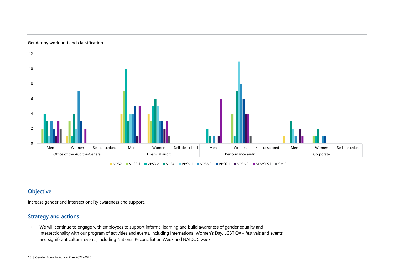#### **Gender by work unit and classification**



## **Objective**

Increase gender and intersectionality awareness and support.

#### **Strategy and actions**

• We will continue to engage with employees to support informal learning and build awareness of gender equality and intersectionality with our program of activities and events, including International Women's Day, LGBTIQA+ festivals and events, and significant cultural events, including National Reconciliation Week and NAIDOC week.